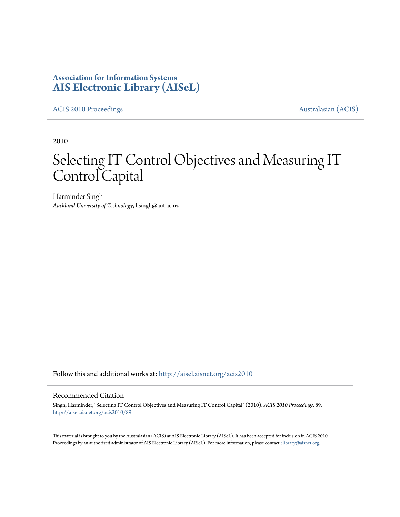# **Association for Information Systems [AIS Electronic Library \(AISeL\)](http://aisel.aisnet.org?utm_source=aisel.aisnet.org%2Facis2010%2F89&utm_medium=PDF&utm_campaign=PDFCoverPages)**

[ACIS 2010 Proceedings](http://aisel.aisnet.org/acis2010?utm_source=aisel.aisnet.org%2Facis2010%2F89&utm_medium=PDF&utm_campaign=PDFCoverPages) **Australasian** (ACIS)

2010

# Selecting IT Control Objectives and Measuring IT Control Capital

Harminder Singh *Auckland University of Technology*, hsingh@aut.ac.nz

Follow this and additional works at: [http://aisel.aisnet.org/acis2010](http://aisel.aisnet.org/acis2010?utm_source=aisel.aisnet.org%2Facis2010%2F89&utm_medium=PDF&utm_campaign=PDFCoverPages)

#### Recommended Citation

Singh, Harminder, "Selecting IT Control Objectives and Measuring IT Control Capital" (2010). *ACIS 2010 Proceedings*. 89. [http://aisel.aisnet.org/acis2010/89](http://aisel.aisnet.org/acis2010/89?utm_source=aisel.aisnet.org%2Facis2010%2F89&utm_medium=PDF&utm_campaign=PDFCoverPages)

This material is brought to you by the Australasian (ACIS) at AIS Electronic Library (AISeL). It has been accepted for inclusion in ACIS 2010 Proceedings by an authorized administrator of AIS Electronic Library (AISeL). For more information, please contact [elibrary@aisnet.org](mailto:elibrary@aisnet.org%3E).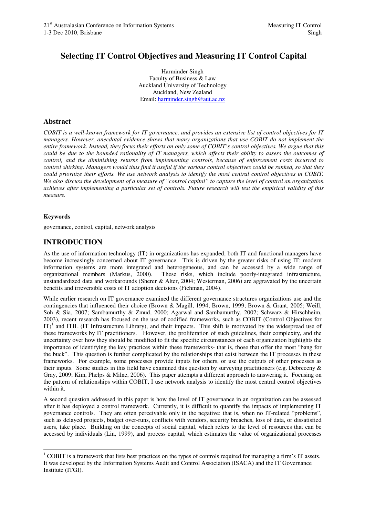# **Selecting IT Control Objectives and Measuring IT Control Capital**

Harminder Singh Faculty of Business & Law Auckland University of Technology Auckland, New Zealand Email: harminder.singh@aut.ac.nz

## **Abstract**

*COBIT is a well-known framework for IT governance, and provides an extensive list of control objectives for IT managers. However, anecdotal evidence shows that many organizations that use COBIT do not implement the entire framework. Instead, they focus their efforts on only some of COBIT's control objectives. We argue that this could be due to the bounded rationality of IT managers, which affects their ability to assess the outcomes of control, and the diminishing returns from implementing controls, because of enforcement costs incurred to control shirking. Managers would thus find it useful if the various control objectives could be ranked, so that they could prioritize their efforts. We use network analysis to identify the most central control objectives in COBIT. We also discuss the development of a measure of "control capital" to capture the level of control an organization achieves after implementing a particular set of controls. Future research will test the empirical validity of this measure.* 

#### **Keywords**

governance, control, capital, network analysis

## **INTRODUCTION**

As the use of information technology (IT) in organizations has expanded, both IT and functional managers have become increasingly concerned about IT governance. This is driven by the greater risks of using IT: modern information systems are more integrated and heterogeneous, and can be accessed by a wide range of organizational members (Markus, 2000). These risks, which include poorly-integrated infrastructure, These risks, which include poorly-integrated infrastructure, unstandardized data and workarounds (Sherer & Alter, 2004; Westerman, 2006) are aggravated by the uncertain benefits and irreversible costs of IT adoption decisions (Fichman, 2004).

While earlier research on IT governance examined the different governance structures organizations use and the contingencies that influenced their choice (Brown & Magill, 1994; Brown, 1999; Brown & Grant, 2005; Weill, Soh & Sia, 2007; Sambamurthy & Zmud, 2000; Agarwal and Sambamurthy, 2002; Schwarz & Hirschheim, 2003), recent research has focused on the use of codified frameworks, such as COBIT (Control Objectives for IT)<sup>1</sup> and ITIL (IT Infrastructure Library), and their impacts. This shift is motivated by the widespread use of these frameworks by IT practitioners. However, the proliferation of such guidelines, their complexity, and the uncertainty over how they should be modified to fit the specific circumstances of each organization highlights the importance of identifying the key practices within these frameworks- that is, those that offer the most "bang for the buck". This question is further complicated by the relationships that exist between the IT processes in these frameworks. For example, some processes provide inputs for others, or use the outputs of other processes as their inputs. Some studies in this field have examined this question by surveying practitioners (e.g. Debreceny & Gray, 2009; Kim, Phelps & Milne, 2006). This paper attempts a different approach to answering it. Focusing on the pattern of relationships within COBIT, I use network analysis to identify the most central control objectives within it.

A second question addressed in this paper is how the level of IT governance in an organization can be assessed after it has deployed a control framework. Currently, it is difficult to quantify the impacts of implementing IT governance controls. They are often perceivable only in the negative: that is, when no IT-related "problems", such as delayed projects, budget over-runs, conflicts with vendors, security breaches, loss of data, or dissatisfied users, take place. Building on the concepts of social capital, which refers to the level of resources that can be accessed by individuals (Lin, 1999), and process capital, which estimates the value of organizational processes

 $\overline{a}$  $1$  COBIT is a framework that lists best practices on the types of controls required for managing a firm's IT assets. It was developed by the Information Systems Audit and Control Association (ISACA) and the IT Governance Institute (ITGI).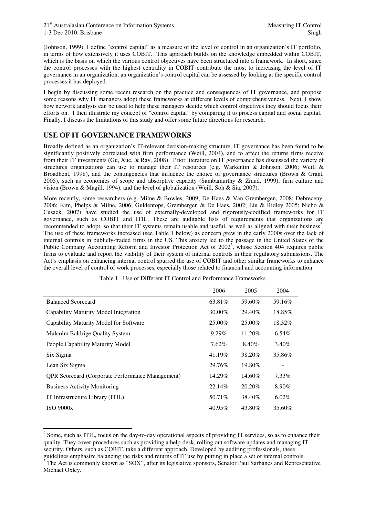(Johnson, 1999), I define "control capital" as a measure of the level of control in an organization's IT portfolio, in terms of how extensively it uses COBIT. This approach builds on the knowledge embedded within COBIT, which is the basis on which the various control objectives have been structured into a framework. In short, since the control processes with the highest centrality in COBIT contribute the most to increasing the level of IT governance in an organization, an organization's control capital can be assessed by looking at the specific control processes it has deployed.

I begin by discussing some recent research on the practice and consequences of IT governance, and propose some reasons why IT managers adopt these frameworks at different levels of comprehensiveness. Next, I show how network analysis can be used to help these managers decide which control objectives they should focus their efforts on. I then illustrate my concept of "control capital" by comparing it to process capital and social capital. Finally, I discuss the limitations of this study and offer some future directions for research.

## **USE OF IT GOVERNANCE FRAMEWORKS**

 $\overline{a}$ 

Broadly defined as an organization's IT-relevant decision-making structure, IT governance has been found to be significantly positively correlated with firm performance (Weill, 2004), and to affect the returns firms receive from their IT investments (Gu, Xue, & Ray, 2008). Prior literature on IT governance has discussed the variety of structures organizations can use to manage their IT resources (e.g. Warkentin & Johnson, 2006; Weill & Broadbent, 1998), and the contingencies that influence the choice of governance structures (Brown & Grant, 2005), such as economies of scope and absorptive capacity (Sambamurthy & Zmud, 1999), firm culture and vision (Brown & Magill, 1994), and the level of globalization (Weill, Soh & Sia, 2007).

More recently, some researchers (e.g. Milne & Bowles, 2009; De Haes & Van Grembergen, 2008; Debreceny. 2006; Kim, Phelps & Milne, 2006; Guldentops, Grembergen & De Haes, 2002; Liu & Ridley 2005; Nicho & Cusack, 2007) have studied the use of externally-developed and rigorously-codified frameworks for IT governance, such as COBIT and ITIL. These are auditable lists of requirements that organizations are recommended to adopt, so that their IT systems remain usable and useful, as well as aligned with their business<sup>2</sup>. The use of these frameworks increased (see Table 1 below) as concern grew in the early 2000s over the lack of internal controls in publicly-traded firms in the US. This anxiety led to the passage in the United States of the Public Company Accounting Reform and Investor Protection Act of  $2002<sup>3</sup>$ , whose Section 404 requires public firms to evaluate and report the viability of their system of internal controls in their regulatory submissions. The Act's emphasis on enhancing internal control spurred the use of COBIT and other similar frameworks to enhance the overall level of control of work processes, especially those related to financial and accounting information.

|                                                         | 2006     | 2005    | 2004     |
|---------------------------------------------------------|----------|---------|----------|
| <b>Balanced Scorecard</b>                               | 63.81\%  | 59.60%  | 59.16%   |
| Capability Maturity Model Integration                   | 30.00%   | 29.40\% | 18.85%   |
| Capability Maturity Model for Software                  | 25.00%   | 25.00%  | 18.32%   |
| Malcolm Baldrige Quality System                         | $9.29\%$ | 11.20%  | 6.54%    |
| People Capability Maturity Model                        | $7.62\%$ | 8.40%   | 3.40%    |
| Six Sigma                                               | 41.19%   | 38.20%  | 35.86%   |
| Lean Six Sigma                                          | 29.76%   | 19.80%  |          |
| <b>QPR</b> Scorecard (Corporate Performance Management) | 14.29%   | 14.60%  | 7.33%    |
| <b>Business Activity Monitoring</b>                     | 22.14%   | 20.20%  | 8.90%    |
| IT Infrastructure Library (ITIL)                        | 50.71%   | 38.40%  | $6.02\%$ |
| <b>ISO 9000x</b>                                        | 40.95%   | 43.80%  | 35.60%   |

Table 1. Use of Different IT Control and Performance Frameworks

 $2^2$  Some, such as ITIL, focus on the day-to-day operational aspects of providing IT services, so as to enhance their quality. They cover procedures such as providing a help-desk, rolling out software updates and managing IT security. Others, such as COBIT, take a different approach. Developed by auditing professionals, these guidelines emphasize balancing the risks and returns of IT use by putting in place a set of internal controls.  $3$  The Act is commonly known as "SOX", after its legislative sponsors, Senator Paul Sarbanes and Representative Michael Oxley.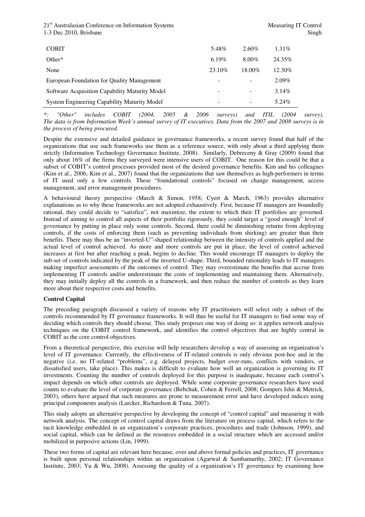21<sup>st</sup> Australasian Conference on Information Systems Measuring IT Control 1-3 Dec 2010, Brisbane Singh 3. Singh 3. Singh 3. Singh 3. Singh 3. Singh 3. Singh 3. Singh 3. Singh 3. Singh 3. Singh 3. Singh 3. Singh 3. Singh 3. Singh 3. Singh 3. Singh 3. Singh 3. Singh 3. Singh 3. Singh 3. Singh 3. S

| <b>COBIT</b>                                        | 5.48%   | $2.60\%$ | $1.31\%$ |
|-----------------------------------------------------|---------|----------|----------|
| Other $*$                                           | 6.19%   | $8.00\%$ | 24.35%   |
| None                                                | 23.10\% | 18.00%   | 12.30%   |
| European Foundation for Quality Management          |         |          | $2.09\%$ |
| Software Acquisition Capability Maturity Model      |         | -        | $3.14\%$ |
| <b>System Engineering Capability Maturity Model</b> | -       | -        | 5.24%    |

*\*: "Other" includes COBIT (2004, 2005 & 2006 surveys) and ITIL (2004 survey). The data is from Information Week's annual survey of IT executives. Data from the 2007 and 2008 surveys is in the process of being procured.* 

Despite the extensive and detailed guidance in governance frameworks, a recent survey found that half of the organizations that use such frameworks use them as a reference source, with only about a third applying them strictly (Information Technology Governance Institute, 2008). Similarly, Debreceny & Gray (2009) found that only about 16% of the firms they surveyed were intensive users of COBIT. One reason for this could be that a subset of COBIT's control processes provided most of the desired governance benefits. Kim and his colleagues (Kim et al., 2006; Kim et al., 2007) found that the organizations that saw themselves as high-performers in terms of IT used only a few controls. These "foundational controls" focused on change management, access management, and error management procedures.

A behavioural theory perspective (March & Simon, 1958; Cyert & March, 1963) provides alternative explanations as to why these frameworks are not adopted exhaustively. First, because IT managers are boundedly rational, they could decide to "satisfice", not maximize, the extent to which their IT portfolios are governed. Instead of aiming to control all aspects of their portfolio rigorously, they could target a "good enough" level of governance by putting in place only some controls. Second, there could be diminishing returns from deploying controls, if the costs of enforcing them (such as preventing individuals from shirking) are greater than their benefits. There may thus be an "inverted-U"-shaped relationship between the intensity of controls applied and the actual level of control achieved. As more and more controls are put in place, the level of control achieved increases at first but after reaching a peak, begins to decline. This would encourage IT managers to deploy the sub-set of controls indicated by the peak of the inverted U-shape. Third, bounded rationality leads to IT managers making imperfect assessments of the outcomes of control. They may overestimate the benefits that accrue from implementing IT controls and/or underestimate the costs of implementing and maintaining them. Alternatively, they may initially deploy all the controls in a framework, and then reduce the number of controls as they learn more about their respective costs and benefits.

#### **Control Capital**

The preceding paragraph discussed a variety of reasons why IT practitioners will select only a subset of the controls recommended by IT governance frameworks. It will thus be useful for IT managers to find some way of deciding which controls they should choose. This study proposes one way of doing so: it applies network analysis techniques on the COBIT control framework, and identifies the control objectives that are highly central in COBIT as the core control objectives.

From a theoretical perspective, this exercise will help researchers develop a way of assessing an organization's level of IT governance. Currently, the effectiveness of IT-related controls is only obvious post-hoc and in the negative (i.e. no IT-related "problems", e.g. delayed projects, budget over-runs, conflicts with vendors, or dissatisfied users, take place). This makes is difficult to evaluate how well an organization is governing its IT investments. Counting the number of controls deployed for this purpose is inadequate, because each control's impact depends on which other controls are deployed. While some corporate governance researchers have used counts to evaluate the level of corporate governance (Bebchuk, Cohen & Ferrell, 2008; Gompers Ishii & Metrick, 2003), others have argued that such measures are prone to measurement error and have developed indices using principal components analysis (Larcker, Richardson & Tuna, 2007).

This study adopts an alternative perspective by developing the concept of "control capital" and measuring it with network analysis. The concept of control capital draws from the literature on process capital, which refers to the tacit knowledge embedded in an organization's corporate practices, procedures and trade (Johnson, 1999), and social capital, which can be defined as the resources embedded in a social structure which are accessed and/or mobilized in purposive actions (Lin, 1999).

These two forms of capital are relevant here because, over and above formal policies and practices, IT governance is built upon personal relationships within an organization (Agarwal & Sambamurthy, 2002; IT Governance Institute, 2003; Yu & Wu, 2008). Assessing the quality of a organization's IT governance by examining how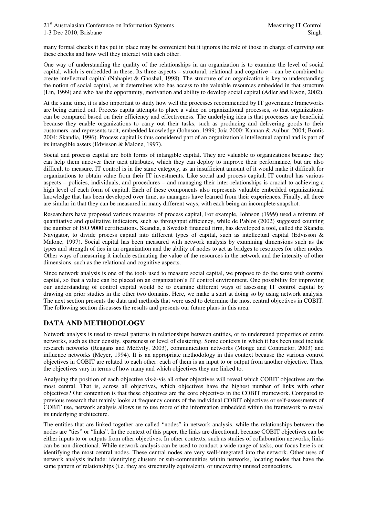many formal checks it has put in place may be convenient but it ignores the role of those in charge of carrying out these checks and how well they interact with each other.

One way of understanding the quality of the relationships in an organization is to examine the level of social capital, which is embedded in these. Its three aspects – structural, relational and cognitive – can be combined to create intellectual capital (Nahapiet & Ghoshal, 1998). The structure of an organization is key to understanding the notion of social capital, as it determines who has access to the valuable resources embedded in that structure (Lin, 1999) and who has the opportunity, motivation and ability to develop social capital (Adler and Kwon, 2002).

At the same time, it is also important to study how well the processes recommended by IT governance frameworks are being carried out. Process capita attempts to place a value on organizational processes, so that organizations can be compared based on their efficiency and effectiveness. The underlying idea is that processes are beneficial because they enable organizations to carry out their tasks, such as producing and delivering goods to their customers, and represents tacit, embedded knowledge (Johnson, 1999; Joia 2000; Kannan & Aulbur, 2004; Bontis 2004; Skandia, 1996). Process capital is thus considered part of an organization's intellectual capital and is part of its intangible assets (Edvisson & Malone, 1997).

Social and process capital are both forms of intangible capital. They are valuable to organizations because they can help them uncover their tacit attributes, which they can deploy to improve their performance, but are also difficult to measure. IT control is in the same category, as an insufficient amount of it would make it difficult for organizations to obtain value from their IT investments. Like social and process capital, IT control has various aspects – policies, individuals, and procedures – and managing their inter-relationships is crucial to achieving a high level of each form of capital. Each of these components also represents valuable embedded organizational knowledge that has been developed over time, as managers have learned from their experiences. Finally, all three are similar in that they can be measured in many different ways, with each being an incomplete snapshot.

Researchers have proposed various measures of process capital, For example, Johnson (1999) used a mixture of quantitative and qualitative indicators, such as throughput efficiency, while de Pablos (2002) suggested counting the number of ISO 9000 certifications. Skandia, a Swedish financial firm, has developed a tool, called the Skandia Navigator, to divide process capital into different types of capital, such as intellectual capital (Edvisson & Malone, 1997). Social capital has been measured with network analysis by examining dimensions such as the types and strength of ties in an organization and the ability of nodes to act as bridges to resources for other nodes. Other ways of measuring it include estimating the value of the resources in the network and the intensity of other dimensions, such as the relational and cognitive aspects.

Since network analysis is one of the tools used to measure social capital, we propose to do the same with control capital, so that a value can be placed on an organization's IT control environment. One possibility for improving our understanding of control capital would be to examine different ways of assessing IT control capital by drawing on prior studies in the other two domains. Here, we make a start at doing so by using network analysis. The next section presents the data and methods that were used to determine the most central objectives in COBIT. The following section discusses the results and presents our future plans in this area.

## **DATA AND METHODOLOGY**

Network analysis is used to reveal patterns in relationships between entities, or to understand properties of entire networks, such as their density, sparseness or level of clustering. Some contexts in which it has been used include research networks (Reagans and McEvily, 2003), communication networks (Monge and Contractor, 2003) and influence networks (Meyer, 1994). It is an appropriate methodology in this context because the various control objectives in COBIT are related to each other: each of them is an input to or output from another objective. Thus, the objectives vary in terms of how many and which objectives they are linked to.

Analysing the position of each objective vis-à-vis all other objectives will reveal which COBIT objectives are the most central. That is, across all objectives, which objectives have the highest number of links with other objectives? Our contention is that these objectives are the core objectives in the COBIT framework. Compared to previous research that mainly looks at frequency counts of the individual COBIT objectives or self-assessments of COBIT use, network analysis allows us to use more of the information embedded within the framework to reveal its underlying architecture.

The entities that are linked together are called "nodes" in network analysis, while the relationships between the nodes are "ties" or "links". In the context of this paper, the links are directional, because COBIT objectives can be either inputs to or outputs from other objectives. In other contexts, such as studies of collaboration networks, links can be non-directional. While network analysis can be used to conduct a wide range of tasks, our focus here is on identifying the most central nodes. These central nodes are very well-integrated into the network. Other uses of network analysis include: identifying clusters or sub-communities within networks, locating nodes that have the same pattern of relationships (i.e. they are structurally equivalent), or uncovering unused connections.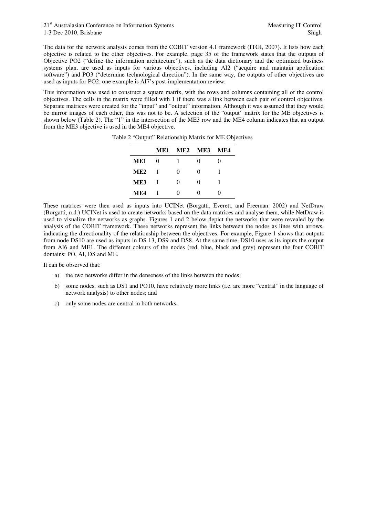The data for the network analysis comes from the COBIT version 4.1 framework (ITGI, 2007). It lists how each objective is related to the other objectives. For example, page 35 of the framework states that the outputs of Objective PO2 ("define the information architecture"), such as the data dictionary and the optimized business systems plan, are used as inputs for various objectives, including AI2 ("acquire and maintain application software") and PO3 ("determine technological direction"). In the same way, the outputs of other objectives are used as inputs for PO2; one example is AI7's post-implementation review.

This information was used to construct a square matrix, with the rows and columns containing all of the control objectives. The cells in the matrix were filled with 1 if there was a link between each pair of control objectives. Separate matrices were created for the "input" and "output" information. Although it was assumed that they would be mirror images of each other, this was not to be. A selection of the "output" matrix for the ME objectives is shown below (Table 2). The "1" in the intersection of the ME3 row and the ME4 column indicates that an output from the ME3 objective is used in the ME4 objective.

|                 | ME1 | ME2 ME3      |                   | MF4      |
|-----------------|-----|--------------|-------------------|----------|
| ME1             | 0   |              | $\mathbf{\Omega}$ | $\Omega$ |
| ME <sub>2</sub> | - 1 | 0            | $\mathbf{\Omega}$ |          |
| ME3             | - 1 | 0            | $\mathbf{\Omega}$ | 1        |
| MF4             |     | $\mathbf{0}$ |                   | 0        |

Table 2 "Output" Relationship Matrix for ME Objectives

These matrices were then used as inputs into UCINet (Borgatti, Everett, and Freeman. 2002) and NetDraw (Borgatti, n.d.) UCINet is used to create networks based on the data matrices and analyse them, while NetDraw is used to visualize the networks as graphs. Figures 1 and 2 below depict the networks that were revealed by the analysis of the COBIT framework. These networks represent the links between the nodes as lines with arrows, indicating the directionality of the relationship between the objectives. For example, Figure 1 shows that outputs from node DS10 are used as inputs in DS 13, DS9 and DS8. At the same time, DS10 uses as its inputs the output from AI6 and ME1. The different colours of the nodes (red, blue, black and grey) represent the four COBIT domains: PO, AI, DS and ME.

It can be observed that:

- a) the two networks differ in the denseness of the links between the nodes;
- b) some nodes, such as DS1 and PO10, have relatively more links (i.e. are more "central" in the language of network analysis) to other nodes; and
- c) only some nodes are central in both networks.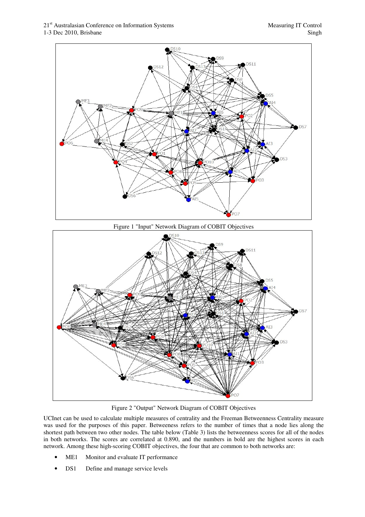



Figure 2 "Output" Network Diagram of COBIT Objectives

UCInet can be used to calculate multiple measures of centrality and the Freeman Betweenness Centrality measure was used for the purposes of this paper. Betweeness refers to the number of times that a node lies along the shortest path between two other nodes. The table below (Table 3) lists the betweenness scores for all of the nodes in both networks. The scores are correlated at 0.890, and the numbers in bold are the highest scores in each network. Among these high-scoring COBIT objectives, the four that are common to both networks are:

- ME1 Monitor and evaluate IT performance
- DS1 Define and manage service levels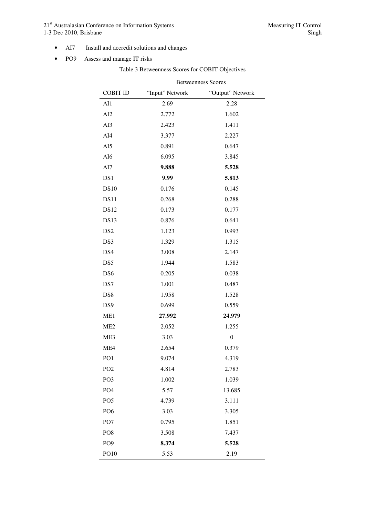21<sup>st</sup> Australasian Conference on Information Systems Measuring IT Control 1-3 Dec 2010, Brisbane Singh

- AI7 Install and accredit solutions and changes
- PO9 Assess and manage IT risks

Table 3 Betweenness Scores for COBIT Objectives Betweenness Scores COBIT ID "Input" Network "Output" Network AI1 2.69 2.28 AI2 2.772 1.602 AI3 2.423 1.411 AI4 3.377 2.227 AI5 0.891 0.647 AI6 6.095 3.845 AI7 **9.888 5.528**  DS1 **9.99 5.813**  DS10 0.176 0.145 DS11 0.268 0.288 DS12 0.173 0.177 DS13 0.876 0.641 DS2 1.123 0.993 DS3 1.329 1.315 DS4 3.008 2.147 DS5 1.944 1.583 DS6 0.205 0.038 DS7 1.001 0.487 DS8 1.958 1.528 DS9 0.699 0.559 ME1 **27.992 24.979**  ME2 2.052 1.255 ME3 3.03 0 ME4 2.654 0.379 PO1 9.074 4.319 PO2 4.814 2.783 PO3 1.002 1.039 PO4 5.57 13.685 PO5 4.739 3.111 PO6 3.03 3.305 PO7 0.795 1.851 PO8 3.508 7.437 PO9 **8.374 5.528**  PO10 5.53 2.19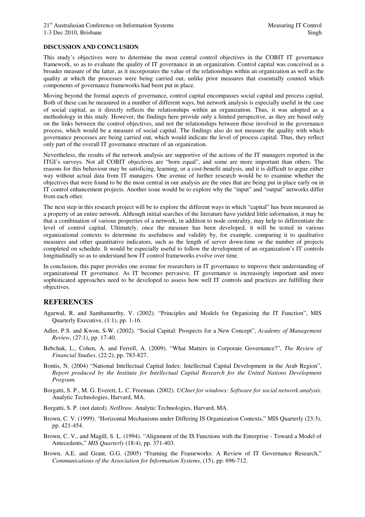#### **DISCUSSION AND CONCLUSION**

This study's objectives were to determine the most central control objectives in the COBIT IT governance framework, so as to evaluate the quality of IT governance in an organization. Control capital was conceived as a broader measure of the latter, as it incorporates the value of the relationships within an organization as well as the quality at which the processes were being carried out, unlike prior measures that essentially counted which components of governance frameworks had been put in place.

Moving beyond the formal aspects of governance, control capital encompasses social capital and process capital. Both of these can be measured in a number of different ways, but network analysis is especially useful in the case of social capital, as it directly reflects the relationships within an organization. Thus, it was adopted as a methodology in this study. However, the findings here provide only a limited perspective, as they are based only on the links between the control objectives, and not the relationships between those involved in the governance process, which would be a measure of social capital. The findings also do not measure the quality with which governance processes are being carried out, which would indicate the level of process capital. Thus, they reflect only part of the overall IT governance structure of an organization.

Nevertheless, the results of the network analysis are supportive of the actions of the IT managers reported in the ITGI's surveys. Not all COBIT objectives are "born equal", and some are more important than others. The reasons for this behaviour may be satisficing, learning, or a cost-benefit analysis, and it is difficult to argue either way without actual data from IT managers. One avenue of further research would be to examine whether the objectives that were found to be the most central in our analysis are the ones that are being put in place early on in IT control enhancement projects. Another issue would be to explore why the "input" and "output" networks differ from each other.

The next step in this research project will be to explore the different ways in which "capital" has been measured as a property of an entire network. Although initial searches of the literature have yielded little information, it may be that a combination of various properties of a network, in addition to node centrality, may help to differentiate the level of control capital. Ultimately, once the measure has been developed, it will be tested in various organizational contexts to determine its usefulness and validity by, for example, comparing it to qualitative measures and other quantitative indicators, such as the length of server down-time or the number of projects completed on schedule. It would be especially useful to follow the development of an organization's IT controls longitudinally so as to understand how IT control frameworks evolve over time.

In conclusion, this paper provides one avenue for researchers in IT governance to improve their understanding of organizational IT governance. As IT becomes pervasive, IT governance is increasingly important and more sophisticated approaches need to be developed to assess how well IT controls and practices are fulfilling their objectives.

### **REFERENCES**

- Agarwal, R. and Sambamurthy, V. (2002). "Principles and Models for Organizing the IT Function", MIS Quarterly Executive, (1:1), pp. 1-16.
- Adler, P.S. and Kwon, S-W. (2002). "Social Capital: Prospects for a New Concept", *Academy of Management Review*, (27:1), pp. 17-40.
- Bebchuk, L., Cohen, A. and Ferrell, A. (2009). "What Matters in Corporate Governance?", *The Review of Financial Studies*, (22:2), pp. 783-827.
- Bontis, N. (2004) "National Intellectual Capital Index: Intellectual Capital Development in the Arab Region", *Report produced by the Institute for Intellectual Capital Research for the United Nations Development Program.*
- Borgatti, S. P., M. G. Everett, L. C. Freeman. (2002). *UCInet for windows: Software for social network analysis*. Analytic Technologies, Harvard, MA.
- Borgatti, S. P. (not dated). *NetDraw*. Analytic Technologies, Harvard, MA.
- Brown, C. V. (1999). "Horizontal Mechanisms under Differing IS Organization Contexts," MIS Quarterly (23:3), pp. 421-454.
- Brown, C. V., and Magill, S. L. (1994). "Alignment of the IS Functions with the Enterprise Toward a Model of Antecedents," *MIS Quarterly* (18:4), pp. 371-403.
- Brown, A.E. and Grant, G.G. (2005) "Framing the Frameworks: A Review of IT Governance Research," *Communications of the Association for Information Systems*, (15), pp. 696-712.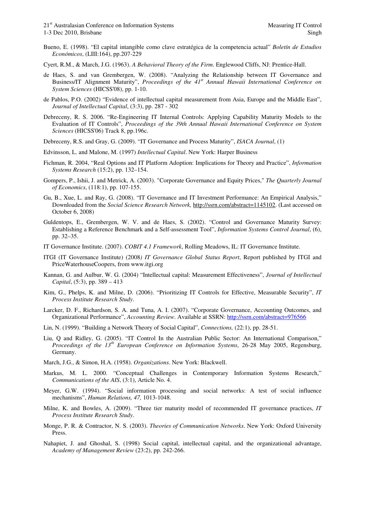- Bueno, E. (1998). "El capital intangible como clave estratégica de la competencia actual" *Boletín de Estudios Económicos*, (LIII:164), pp.207-229
- Cyert, R.M., & March, J.G. (1963). *A Behavioral Theory of the Firm*. Englewood Cliffs, NJ: Prentice-Hall.
- de Haes, S. and van Grembergen, W. (2008). "Analyzing the Relationship between IT Governance and Business/IT Alignment Maturity", *Proceedings of the 41st Annual Hawaii International Conference on System Sciences* (HICSS'08), pp. 1-10.
- de Pablos, P.O. (2002) "Evidence of intellectual capital measurement from Asia, Europe and the Middle East", *Journal of Intellectual Capital*, (3:3), pp. 287 - 302
- Debreceny, R. S. 2006. "Re-Engineering IT Internal Controls: Applying Capability Maturity Models to the Evaluation of IT Controls", *Proceedings of the 39th Annual Hawaii International Conference on System Sciences* (HICSS'06) Track 8, pp.196c.
- Debreceny, R.S. and Gray, G. (2009). "IT Governance and Process Maturity", *ISACA Journal*, (1)
- Edvinsson, L. and Malone, M. (1997) *Intellectual Capital*. New York: Harper Business
- Fichman, R. 2004, "Real Options and IT Platform Adoption: Implications for Theory and Practice", *Information Systems Research* (15:2), pp. 132–154.
- Gompers, P., Ishii, J. and Metrick, A. (2003). "Corporate Governance and Equity Prices," *The Quarterly Journal of Economics*, (118:1), pp. 107-155.
- Gu, B., Xue, L. and Ray, G. (2008). "IT Governance and IT Investment Performance: An Empirical Analysis," Downloaded from the *Social Science Research Network,* http://ssrn.com/abstract=1145102. (Last accessed on October 6, 2008)
- Guldentops, E., Grembergen, W. V. and de Haes, S. (2002). "Control and Governance Maturity Survey: Establishing a Reference Benchmark and a Self-assessment Tool", *Information Systems Control Journal*, (6), pp. 32–35.
- IT Governance Institute. (2007). *COBIT 4.1 Framework*, Rolling Meadows, IL: IT Governance Institute.
- ITGI (IT Governance Institute) (2008*) IT Governance Global Status Report*, Report published by ITGI and PriceWaterhouseCoopers, from www.itgi.org
- Kannan, G. and Aulbur, W. G. (2004) "Intellectual capital: Measurement Effectiveness", *Journal of Intellectual Capital*, (5:3), pp. 389 – 413
- Kim, G., Phelps, K. and Milne, D. (2006). "Prioritizing IT Controls for Effective, Measurable Security", *IT Process Institute Research Study*.
- Larcker, D. F., Richardson, S. A. and Tuna, A. I. (2007). "Corporate Governance, Accounting Outcomes, and Organizational Performance", *Accounting Review*. Available at SSRN: http://ssrn.com/abstract=976566
- Lin, N. (1999). "Building a Network Theory of Social Capital", *Connections,* (22:1), pp. 28-51.
- Liu, Q and Ridley, G. (2005). "IT Control In the Australian Public Sector: An International Comparison," *Proceedings of the 13th European Conference on Information Systems*, 26-28 May 2005, Regensburg, Germany.
- March, J.G., & Simon, H.A. (1958). *Organizations*. New York: Blackwell.
- Markus, M. L. 2000. "Conceptual Challenges in Contemporary Information Systems Research," *Communications of the AIS*, (3:1), Article No. 4.
- Meyer, G.W. (1994). "Social information processing and social networks: A test of social influence mechanisms", *Human Relations, 47,* 1013-1048.
- Milne, K. and Bowles, A. (2009). "Three tier maturity model of recommended IT governance practices, *IT Process Institute Research Study*.
- Monge, P. R. & Contractor, N. S. (2003). *Theories of Communication Networks*. New York: Oxford University Press.
- Nahapiet, J. and Ghoshal, S. (1998) Social capital, intellectual capital, and the organizational advantage, *Academy of Management Review* (23:2), pp. 242-266.